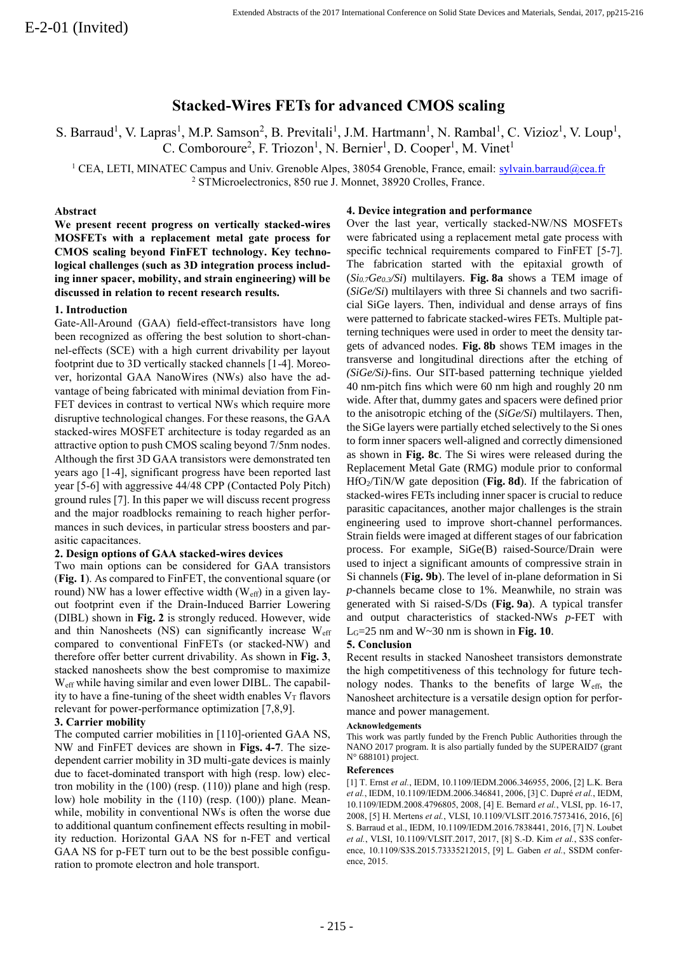# **Stacked-Wires FETs for advanced CMOS scaling**

S. Barraud<sup>1</sup>, V. Lapras<sup>1</sup>, M.P. Samson<sup>2</sup>, B. Previtali<sup>1</sup>, J.M. Hartmann<sup>1</sup>, N. Rambal<sup>1</sup>, C. Vizioz<sup>1</sup>, V. Loup<sup>1</sup>, C. Comboroure<sup>2</sup>, F. Triozon<sup>1</sup>, N. Bernier<sup>1</sup>, D. Cooper<sup>1</sup>, M. Vinet<sup>1</sup>

<sup>1</sup> CEA, LETI, MINATEC Campus and Univ. Grenoble Alpes, 38054 Grenoble, France, email: [sylvain.barraud@cea.fr](mailto:sylvain.barraud@cea.fr) <sup>2</sup> STMicroelectronics, 850 rue J. Monnet, 38920 Crolles, France.

### **Abstract**

**We present recent progress on vertically stacked-wires MOSFETs with a replacement metal gate process for CMOS scaling beyond FinFET technology. Key technological challenges (such as 3D integration process including inner spacer, mobility, and strain engineering) will be discussed in relation to recent research results.**

#### **1. Introduction**

Gate-All-Around (GAA) field-effect-transistors have long been recognized as offering the best solution to short-channel-effects (SCE) with a high current drivability per layout footprint due to 3D vertically stacked channels [1-4]. Moreover, horizontal GAA NanoWires (NWs) also have the advantage of being fabricated with minimal deviation from Fin-FET devices in contrast to vertical NWs which require more disruptive technological changes. For these reasons, the GAA stacked-wires MOSFET architecture is today regarded as an attractive option to push CMOS scaling beyond 7/5nm nodes. Although the first 3D GAA transistors were demonstrated ten years ago [1-4], significant progress have been reported last year [5-6] with aggressive 44/48 CPP (Contacted Poly Pitch) ground rules [7]. In this paper we will discuss recent progress and the major roadblocks remaining to reach higher performances in such devices, in particular stress boosters and parasitic capacitances.

# **2. Design options of GAA stacked-wires devices**

Two main options can be considered for GAA transistors (**Fig. 1**). As compared to FinFET, the conventional square (or round) NW has a lower effective width  $(W_{\text{eff}})$  in a given layout footprint even if the Drain-Induced Barrier Lowering (DIBL) shown in **Fig. 2** is strongly reduced. However, wide and thin Nanosheets (NS) can significantly increase  $W_{\text{eff}}$ compared to conventional FinFETs (or stacked-NW) and therefore offer better current drivability. As shown in **Fig. 3**, stacked nanosheets show the best compromise to maximize Weff while having similar and even lower DIBL. The capability to have a fine-tuning of the sheet width enables  $V<sub>T</sub>$  flavors relevant for power-performance optimization [7,8,9].

# **3. Carrier mobility**

The computed carrier mobilities in [110]-oriented GAA NS, NW and FinFET devices are shown in **Figs. 4-7**. The sizedependent carrier mobility in 3D multi-gate devices is mainly due to facet-dominated transport with high (resp. low) electron mobility in the (100) (resp. (110)) plane and high (resp. low) hole mobility in the (110) (resp. (100)) plane. Meanwhile, mobility in conventional NWs is often the worse due to additional quantum confinement effects resulting in mobility reduction. Horizontal GAA NS for n-FET and vertical GAA NS for p-FET turn out to be the best possible configuration to promote electron and hole transport.

## **4. Device integration and performance**

Over the last year, vertically stacked-NW/NS MOSFETs were fabricated using a replacement metal gate process with specific technical requirements compared to FinFET [5-7]. The fabrication started with the epitaxial growth of (*Si0.7Ge0.3/Si*) multilayers. **Fig. 8a** shows a TEM image of (*SiGe/Si*) multilayers with three Si channels and two sacrificial SiGe layers. Then, individual and dense arrays of fins were patterned to fabricate stacked-wires FETs. Multiple patterning techniques were used in order to meet the density targets of advanced nodes. **Fig. 8b** shows TEM images in the transverse and longitudinal directions after the etching of *(SiGe/Si)*-fins. Our SIT-based patterning technique yielded 40 nm-pitch fins which were 60 nm high and roughly 20 nm wide. After that, dummy gates and spacers were defined prior to the anisotropic etching of the (*SiGe/Si*) multilayers. Then, the SiGe layers were partially etched selectively to the Si ones to form inner spacers well-aligned and correctly dimensioned as shown in **Fig. 8c**. The Si wires were released during the Replacement Metal Gate (RMG) module prior to conformal HfO2/TiN/W gate deposition (**Fig. 8d**). If the fabrication of stacked-wires FETs including inner spacer is crucial to reduce parasitic capacitances, another major challenges is the strain engineering used to improve short-channel performances. Strain fields were imaged at different stages of our fabrication process. For example, SiGe(B) raised-Source/Drain were used to inject a significant amounts of compressive strain in Si channels (**Fig. 9b**). The level of in-plane deformation in Si *p*-channels became close to 1%. Meanwhile, no strain was generated with Si raised-S/Ds (**Fig. 9a**). A typical transfer and output characteristics of stacked-NWs *p*-FET with LG=25 nm and W~30 nm is shown in **Fig. 10**.

# **5. Conclusion**

Recent results in stacked Nanosheet transistors demonstrate the high competitiveness of this technology for future technology nodes. Thanks to the benefits of large  $W_{eff}$ , the Nanosheet architecture is a versatile design option for performance and power management.

#### **Acknowledgements**

This work was partly funded by the French Public Authorities through the NANO 2017 program. It is also partially funded by the SUPERAID7 (grant N° 688101) project.

#### **References**

[1] T. Ernst *et al.*, IEDM, 10.1109/IEDM.2006.346955, 2006, [2] L.K. Bera *et al.*, IEDM, 10.1109/IEDM.2006.346841, 2006, [3] C. Dupré *et al.*, IEDM, 10.1109/IEDM.2008.4796805, 2008, [4] E. Bernard *et al.*, VLSI, pp. 16-17, 2008, [5] H. Mertens *et al.*, VLSI, 10.1109/VLSIT.2016.7573416, 2016, [6] S. Barraud et al., IEDM, 10.1109/IEDM.2016.7838441, 2016, [7] N. Loubet *et al.*, VLSI, 10.1109/VLSIT.2017, 2017, [8] S.-D. Kim *et al.*, S3S conference, 10.1109/S3S.2015.73335212015, [9] L. Gaben *et al.*, SSDM conference, 2015.